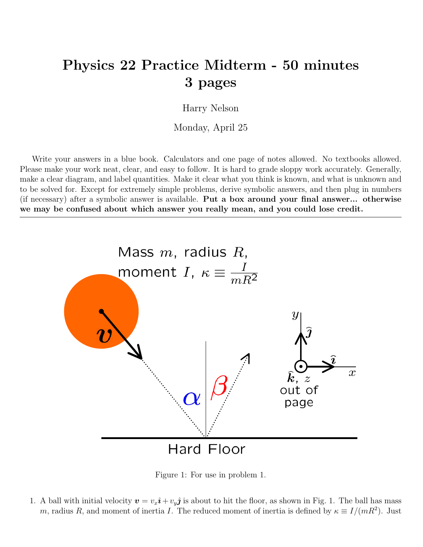## Physics 22 Practice Midterm - 50 minutes 3 pages

Harry Nelson

Monday, April 25

Write your answers in a blue book. Calculators and one page of notes allowed. No textbooks allowed. Please make your work neat, clear, and easy to follow. It is hard to grade sloppy work accurately. Generally, make a clear diagram, and label quantities. Make it clear what you think is known, and what is unknown and to be solved for. Except for extremely simple problems, derive symbolic answers, and then plug in numbers (if necessary) after a symbolic answer is available. Put a box around your final answer... otherwise we may be confused about which answer you really mean, and you could lose credit.



Figure 1: For use in problem 1.

1. A ball with initial velocity  $v = v_x \hat{\imath} + v_y \hat{\jmath}$  is about to hit the floor, as shown in Fig. 1. The ball has mass m, radius R, and moment of inertia I. The reduced moment of inertia is defined by  $\kappa \equiv I/(mR^2)$ . Just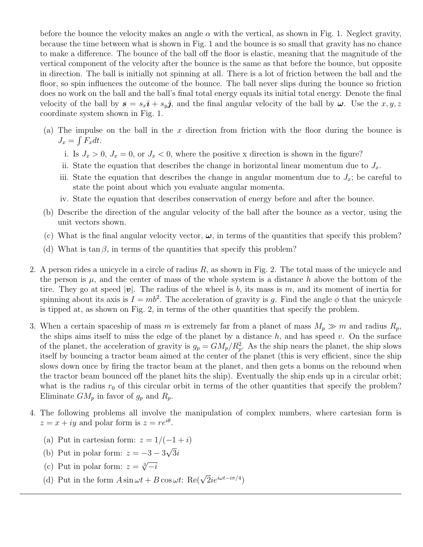before the bounce the velocity makes an angle  $\alpha$  with the vertical, as shown in Fig. 1. Neglect gravity, because the time between what is shown in Fig. 1 and the bounce is so small that gravity has no chance to make a difference. The bounce of the ball off the floor is elastic, meaning that the magnitude of the vertical component of the velocity after the bounce is the same as that before the bounce, but opposite in direction. The ball is initially not spinning at all. There is a lot of friction between the ball and the floor, so spin influences the outcome of the bounce. The ball never slips during the bounce so friction does no work on the ball and the ball's final total energy equals its initial total energy. Denote the final velocity of the ball by  $s = s_x \hat{\imath} + s_y \hat{\jmath}$ , and the final angular velocity of the ball by  $\omega$ . Use the  $x, y, z$ coordinate system shown in Fig. 1.

- (a) The impulse on the ball in the x direction from friction with the floor during the bounce is  $J_x = \int F_x dt$ .
	- i. Is  $J_x > 0$ ,  $J_x = 0$ , or  $J_x < 0$ , where the positive x direction is shown in the figure?
	- ii. State the equation that describes the change in horizontal linear momentum due to  $J_x$ .
	- iii. State the equation that describes the change in angular momentum due to  $J_x$ ; be careful to state the point about which you evaluate angular momenta.
	- iv. State the equation that describes conservation of energy before and after the bounce.
- (b) Describe the direction of the angular velocity of the ball after the bounce as a vector, using the unit vectors shown.
- (c) What is the final angular velocity vector,  $\omega$ , in terms of the quantities that specify this problem?
- (d) What is  $\tan \beta$ , in terms of the quantities that specify this problem?
- 2. A person rides a unicycle in a circle of radius  $R$ , as shown in Fig. 2. The total mass of the unicycle and the person is  $\mu$ , and the center of mass of the whole system is a distance h above the bottom of the tire. They go at speed |v|. The radius of the wheel is b, its mass is m, and its moment of inertia for spinning about its axis is  $I = mb^2$ . The acceleration of gravity is g. Find the angle  $\phi$  that the unicycle is tipped at, as shown on Fig. 2, in terms of the other quantities that specify the problem.
- 3. When a certain spaceship of mass m is extremely far from a planet of mass  $M_p \gg m$  and radius  $R_p$ , the ships aims itself to miss the edge of the planet by a distance  $h$ , and has speed v. On the surface of the planet, the acceleration of gravity is  $g_p = GM_p/R_p^2$ . As the ship nears the planet, the ship slows itself by bouncing a tractor beam aimed at the center of the planet (this is very efficient, since the ship slows down once by firing the tractor beam at the planet, and then gets a bonus on the rebound when the tractor beam bounced off the planet hits the ship). Eventually the ship ends up in a circular orbit; what is the radius  $r_0$  of this circular orbit in terms of the other quantities that specify the problem? Eliminate  $GM_p$  in favor of  $g_p$  and  $R_p$ .
- 4. The following problems all involve the manipulation of complex numbers, where cartesian form is  $z = x + iy$  and polar form is  $z = re^{i\theta}$ .
	- (a) Put in cartesian form:  $z = 1/(-1 + i)$
	- (b) Put in polar form:  $z = -3 3$ √  $3i$
	- (c) Put in polar form:  $z = \sqrt[3]{-i}$
	- (d) Put in the form  $A \sin \omega t + B \cos \omega t$ : Re( $\sqrt{2}ie^{i\omega t i\pi/4}$ )